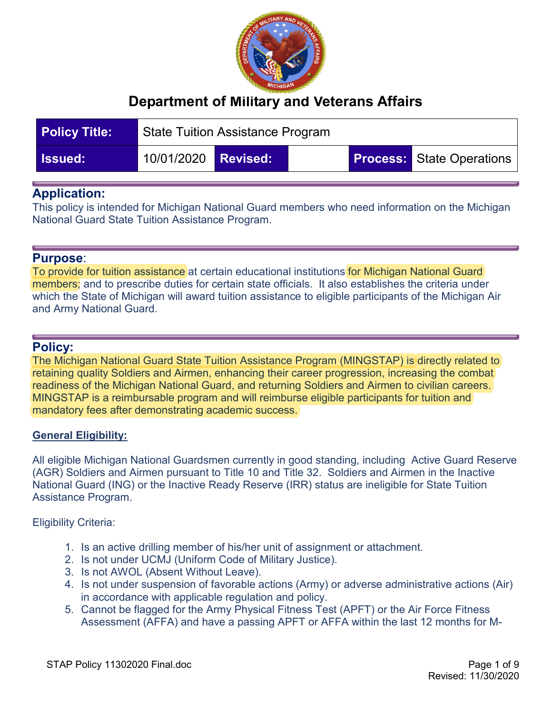

| <b>Policy Title:</b> | <b>State Tuition Assistance Program</b> |  |  |  |                                  |
|----------------------|-----------------------------------------|--|--|--|----------------------------------|
| <b>Issued:</b>       | 10/01/2020 <b>Revised:</b>              |  |  |  | <b>Process:</b> State Operations |

## **Application:**

This policy is intended for Michigan National Guard members who need information on the Michigan National Guard State Tuition Assistance Program.

#### **Purpose**:

To provide for tuition assistance at certain educational institutions for Michigan National Guard members; and to prescribe duties for certain state officials. It also establishes the criteria under which the State of Michigan will award tuition assistance to eligible participants of the Michigan Air and Army National Guard.

## **Policy:**

The Michigan National Guard State Tuition Assistance Program (MINGSTAP) is directly related to retaining quality Soldiers and Airmen, enhancing their career progression, increasing the combat readiness of the Michigan National Guard, and returning Soldiers and Airmen to civilian careers. MINGSTAP is a reimbursable program and will reimburse eligible participants for tuition and mandatory fees after demonstrating academic success.

#### **General Eligibility:**

All eligible Michigan National Guardsmen currently in good standing, including Active Guard Reserve (AGR) Soldiers and Airmen pursuant to Title 10 and Title 32. Soldiers and Airmen in the Inactive National Guard (ING) or the Inactive Ready Reserve (IRR) status are ineligible for State Tuition Assistance Program.

Eligibility Criteria:

- 1. Is an active drilling member of his/her unit of assignment or attachment.
- 2. Is not under UCMJ (Uniform Code of Military Justice).
- 3. Is not AWOL (Absent Without Leave).
- 4. Is not under suspension of favorable actions (Army) or adverse administrative actions (Air) in accordance with applicable regulation and policy.
- 5. Cannot be flagged for the Army Physical Fitness Test (APFT) or the Air Force Fitness Assessment (AFFA) and have a passing APFT or AFFA within the last 12 months for M-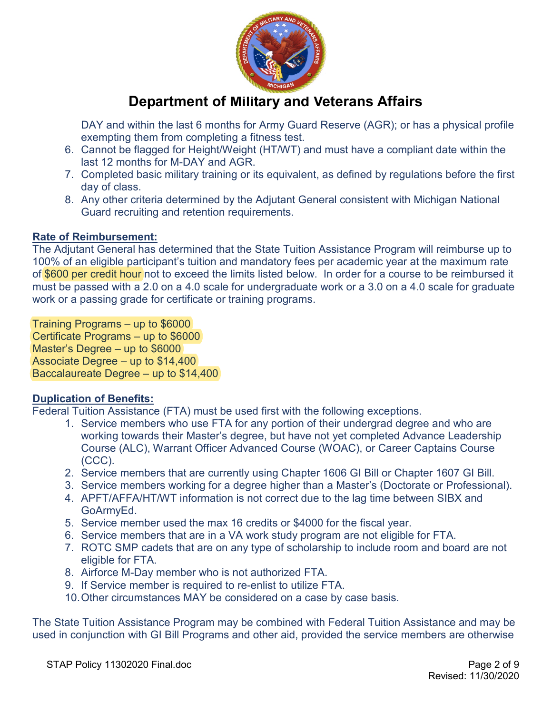

DAY and within the last 6 months for Army Guard Reserve (AGR); or has a physical profile exempting them from completing a fitness test.

- 6. Cannot be flagged for Height/Weight (HT/WT) and must have a compliant date within the last 12 months for M-DAY and AGR.
- 7. Completed basic military training or its equivalent, as defined by regulations before the first day of class.
- 8. Any other criteria determined by the Adjutant General consistent with Michigan National Guard recruiting and retention requirements.

### **Rate of Reimbursement:**

The Adjutant General has determined that the State Tuition Assistance Program will reimburse up to 100% of an eligible participant's tuition and mandatory fees per academic year at the maximum rate of \$600 per credit hour not to exceed the limits listed below. In order for a course to be reimbursed it must be passed with a 2.0 on a 4.0 scale for undergraduate work or a 3.0 on a 4.0 scale for graduate work or a passing grade for certificate or training programs.

Training Programs – up to \$6000 Certificate Programs – up to \$6000 Master's Degree – up to \$6000 Associate Degree – up to \$14,400 Baccalaureate Degree – up to \$14,400

## **Duplication of Benefits:**

Federal Tuition Assistance (FTA) must be used first with the following exceptions.

- 1. Service members who use FTA for any portion of their undergrad degree and who are working towards their Master's degree, but have not yet completed Advance Leadership Course (ALC), Warrant Officer Advanced Course (WOAC), or Career Captains Course (CCC).
- 2. Service members that are currently using Chapter 1606 GI Bill or Chapter 1607 GI Bill.
- 3. Service members working for a degree higher than a Master's (Doctorate or Professional).
- 4. APFT/AFFA/HT/WT information is not correct due to the lag time between SIBX and GoArmyEd.
- 5. Service member used the max 16 credits or \$4000 for the fiscal year.
- 6. Service members that are in a VA work study program are not eligible for FTA.
- 7. ROTC SMP cadets that are on any type of scholarship to include room and board are not eligible for FTA.
- 8. Airforce M-Day member who is not authorized FTA.
- 9. If Service member is required to re-enlist to utilize FTA.
- 10.Other circumstances MAY be considered on a case by case basis.

The State Tuition Assistance Program may be combined with Federal Tuition Assistance and may be used in conjunction with GI Bill Programs and other aid, provided the service members are otherwise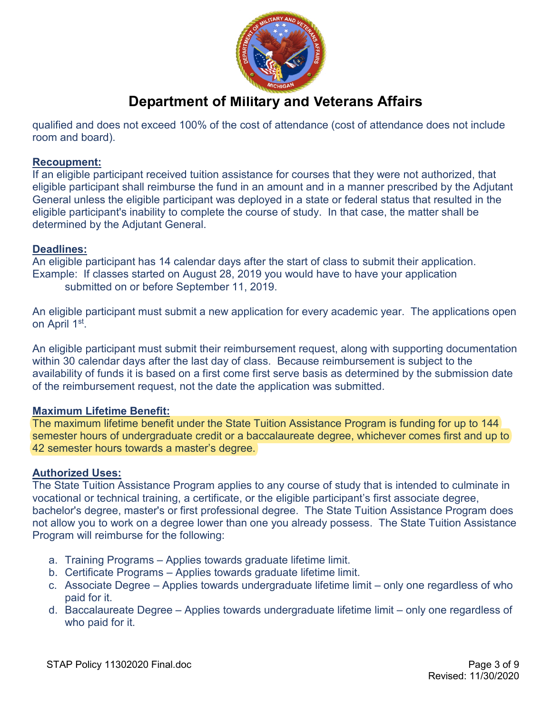

qualified and does not exceed 100% of the cost of attendance (cost of attendance does not include room and board).

#### **Recoupment:**

If an eligible participant received tuition assistance for courses that they were not authorized, that eligible participant shall reimburse the fund in an amount and in a manner prescribed by the Adjutant General unless the eligible participant was deployed in a state or federal status that resulted in the eligible participant's inability to complete the course of study. In that case, the matter shall be determined by the Adjutant General.

### **Deadlines:**

An eligible participant has 14 calendar days after the start of class to submit their application. Example: If classes started on August 28, 2019 you would have to have your application submitted on or before September 11, 2019.

An eligible participant must submit a new application for every academic year. The applications open on April 1st.

An eligible participant must submit their reimbursement request, along with supporting documentation within 30 calendar days after the last day of class. Because reimbursement is subject to the availability of funds it is based on a first come first serve basis as determined by the submission date of the reimbursement request, not the date the application was submitted.

#### **Maximum Lifetime Benefit:**

The maximum lifetime benefit under the State Tuition Assistance Program is funding for up to 144 semester hours of undergraduate credit or a baccalaureate degree, whichever comes first and up to 42 semester hours towards a master's degree.

## **Authorized Uses:**

The State Tuition Assistance Program applies to any course of study that is intended to culminate in vocational or technical training, a certificate, or the eligible participant's first associate degree, bachelor's degree, master's or first professional degree. The State Tuition Assistance Program does not allow you to work on a degree lower than one you already possess. The State Tuition Assistance Program will reimburse for the following:

- a. Training Programs Applies towards graduate lifetime limit.
- b. Certificate Programs Applies towards graduate lifetime limit.
- c. Associate Degree Applies towards undergraduate lifetime limit only one regardless of who paid for it.
- d. Baccalaureate Degree Applies towards undergraduate lifetime limit only one regardless of who paid for it.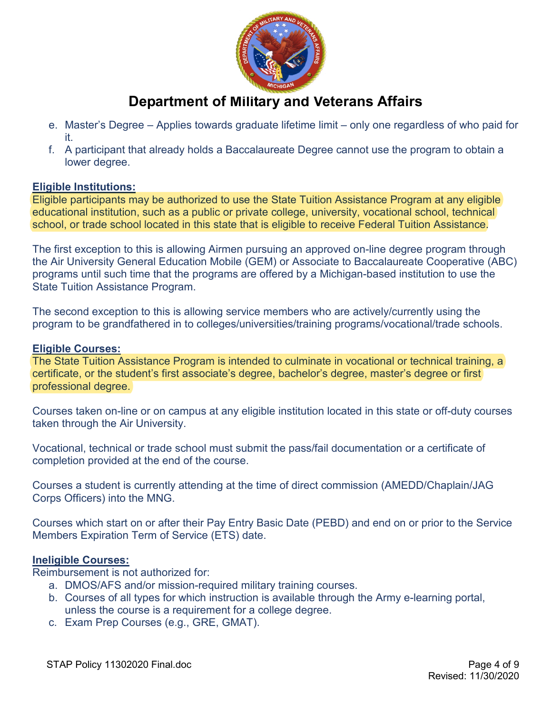

- e. Master's Degree Applies towards graduate lifetime limit only one regardless of who paid for it.
- f. A participant that already holds a Baccalaureate Degree cannot use the program to obtain a lower degree.

#### **Eligible Institutions:**

Eligible participants may be authorized to use the State Tuition Assistance Program at any eligible educational institution, such as a public or private college, university, vocational school, technical school, or trade school located in this state that is eligible to receive Federal Tuition Assistance.

The first exception to this is allowing Airmen pursuing an approved on-line degree program through the Air University General Education Mobile (GEM) or Associate to Baccalaureate Cooperative (ABC) programs until such time that the programs are offered by a Michigan-based institution to use the State Tuition Assistance Program.

The second exception to this is allowing service members who are actively/currently using the program to be grandfathered in to colleges/universities/training programs/vocational/trade schools.

#### **Eligible Courses:**

The State Tuition Assistance Program is intended to culminate in vocational or technical training, a certificate, or the student's first associate's degree, bachelor's degree, master's degree or first professional degree.

Courses taken on-line or on campus at any eligible institution located in this state or off-duty courses taken through the Air University.

Vocational, technical or trade school must submit the pass/fail documentation or a certificate of completion provided at the end of the course.

Courses a student is currently attending at the time of direct commission (AMEDD/Chaplain/JAG Corps Officers) into the MNG.

Courses which start on or after their Pay Entry Basic Date (PEBD) and end on or prior to the Service Members Expiration Term of Service (ETS) date.

#### **Ineligible Courses:**

Reimbursement is not authorized for:

- a. DMOS/AFS and/or mission-required military training courses.
- b. Courses of all types for which instruction is available through the Army e-learning portal, unless the course is a requirement for a college degree.
- c. Exam Prep Courses (e.g., GRE, GMAT).

STAP Policy 11302020 Final.doc **Page 4 of 9**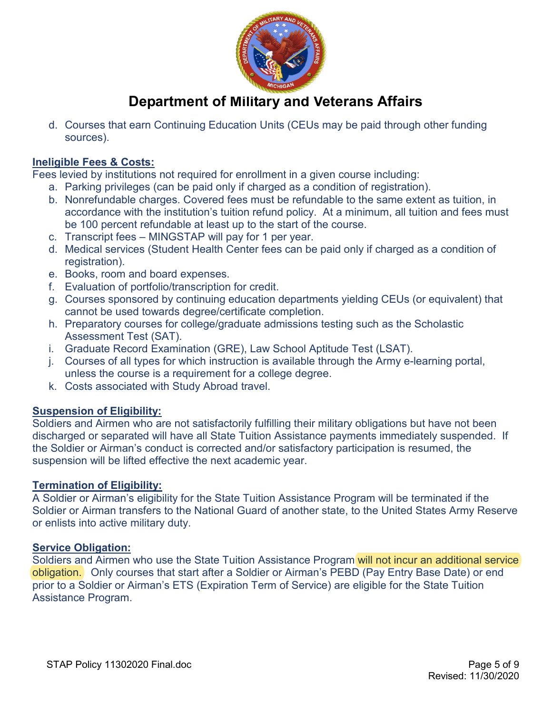

d. Courses that earn Continuing Education Units (CEUs may be paid through other funding sources).

## **Ineligible Fees & Costs:**

Fees levied by institutions not required for enrollment in a given course including:

- a. Parking privileges (can be paid only if charged as a condition of registration).
- b. Nonrefundable charges. Covered fees must be refundable to the same extent as tuition, in accordance with the institution's tuition refund policy. At a minimum, all tuition and fees must be 100 percent refundable at least up to the start of the course.
- c. Transcript fees MINGSTAP will pay for 1 per year.
- d. Medical services (Student Health Center fees can be paid only if charged as a condition of registration).
- e. Books, room and board expenses.
- f. Evaluation of portfolio/transcription for credit.
- g. Courses sponsored by continuing education departments yielding CEUs (or equivalent) that cannot be used towards degree/certificate completion.
- h. Preparatory courses for college/graduate admissions testing such as the Scholastic Assessment Test (SAT).
- i. Graduate Record Examination (GRE), Law School Aptitude Test (LSAT).
- j. Courses of all types for which instruction is available through the Army e-learning portal, unless the course is a requirement for a college degree.
- k. Costs associated with Study Abroad travel.

## **Suspension of Eligibility:**

Soldiers and Airmen who are not satisfactorily fulfilling their military obligations but have not been discharged or separated will have all State Tuition Assistance payments immediately suspended. If the Soldier or Airman's conduct is corrected and/or satisfactory participation is resumed, the suspension will be lifted effective the next academic year.

#### **Termination of Eligibility:**

A Soldier or Airman's eligibility for the State Tuition Assistance Program will be terminated if the Soldier or Airman transfers to the National Guard of another state, to the United States Army Reserve or enlists into active military duty.

#### **Service Obligation:**

Soldiers and Airmen who use the State Tuition Assistance Program will not incur an additional service obligation. Only courses that start after a Soldier or Airman's PEBD (Pay Entry Base Date) or end prior to a Soldier or Airman's ETS (Expiration Term of Service) are eligible for the State Tuition Assistance Program.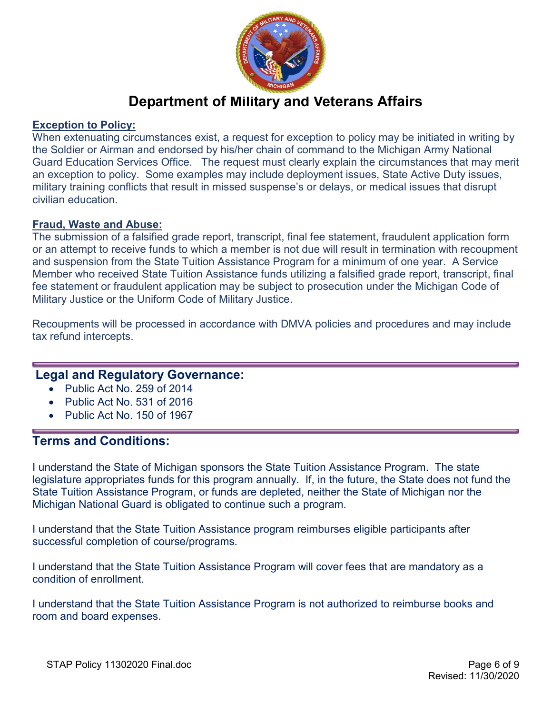

#### **Exception to Policy:**

When extenuating circumstances exist, a request for exception to policy may be initiated in writing by the Soldier or Airman and endorsed by his/her chain of command to the Michigan Army National Guard Education Services Office. The request must clearly explain the circumstances that may merit an exception to policy. Some examples may include deployment issues, State Active Duty issues, military training conflicts that result in missed suspense's or delays, or medical issues that disrupt civilian education.

#### **Fraud, Waste and Abuse:**

The submission of a falsified grade report, transcript, final fee statement, fraudulent application form or an attempt to receive funds to which a member is not due will result in termination with recoupment and suspension from the State Tuition Assistance Program for a minimum of one year. A Service Member who received State Tuition Assistance funds utilizing a falsified grade report, transcript, final fee statement or fraudulent application may be subject to prosecution under the Michigan Code of Military Justice or the Uniform Code of Military Justice.

Recoupments will be processed in accordance with DMVA policies and procedures and may include tax refund intercepts.

## **Legal and Regulatory Governance:**

- Public Act No. 259 of 2014
- Public Act No. 531 of 2016
- Public Act No. 150 of 1967

## **Terms and Conditions:**

I understand the State of Michigan sponsors the State Tuition Assistance Program. The state legislature appropriates funds for this program annually. If, in the future, the State does not fund the State Tuition Assistance Program, or funds are depleted, neither the State of Michigan nor the Michigan National Guard is obligated to continue such a program.

I understand that the State Tuition Assistance program reimburses eligible participants after successful completion of course/programs.

I understand that the State Tuition Assistance Program will cover fees that are mandatory as a condition of enrollment.

I understand that the State Tuition Assistance Program is not authorized to reimburse books and room and board expenses.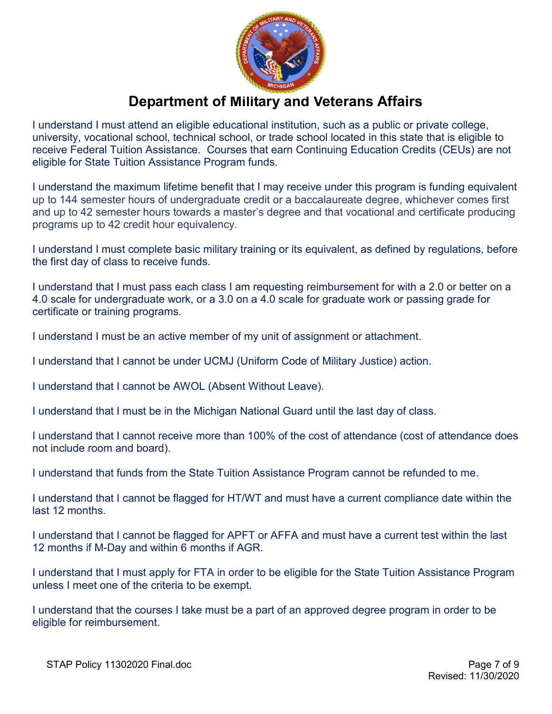

I understand I must attend an eligible educational institution, such as a public or private college, university, vocational school, technical school, or trade school located in this state that is eligible to receive Federal Tuition Assistance. Courses that earn Continuing Education Credits (CEUs) are not eligible for State Tuition Assistance Program funds.

I understand the maximum lifetime benefit that I may receive under this program is funding equivalent up to 144 semester hours of undergraduate credit or a baccalaureate degree, whichever comes first and up to 42 semester hours towards a master's degree and that vocational and certificate producing programs up to 42 credit hour equivalency.

I understand I must complete basic military training or its equivalent, as defined by regulations, before the first day of class to receive funds.

I understand that I must pass each class I am requesting reimbursement for with a 2.0 or better on a 4.0 scale for undergraduate work, or a 3.0 on a 4.0 scale for graduate work or passing grade for certificate or training programs.

I understand I must be an active member of my unit of assignment or attachment.

I understand that I cannot be under UCMJ (Uniform Code of Military Justice) action.

I understand that I cannot be AWOL (Absent Without Leave).

I understand that I must be in the Michigan National Guard until the last day of class.

I understand that I cannot receive more than 100% of the cost of attendance (cost of attendance does not include room and board).

I understand that funds from the State Tuition Assistance Program cannot be refunded to me.

I understand that I cannot be flagged for HT/WT and must have a current compliance date within the last 12 months.

I understand that I cannot be flagged for APFT or AFFA and must have a current test within the last 12 months if M-Day and within 6 months if AGR.

I understand that I must apply for FTA in order to be eligible for the State Tuition Assistance Program unless I meet one of the criteria to be exempt.

I understand that the courses I take must be a part of an approved degree program in order to be eligible for reimbursement.

STAP Policy 11302020 Final.doc **Page 7 of 9**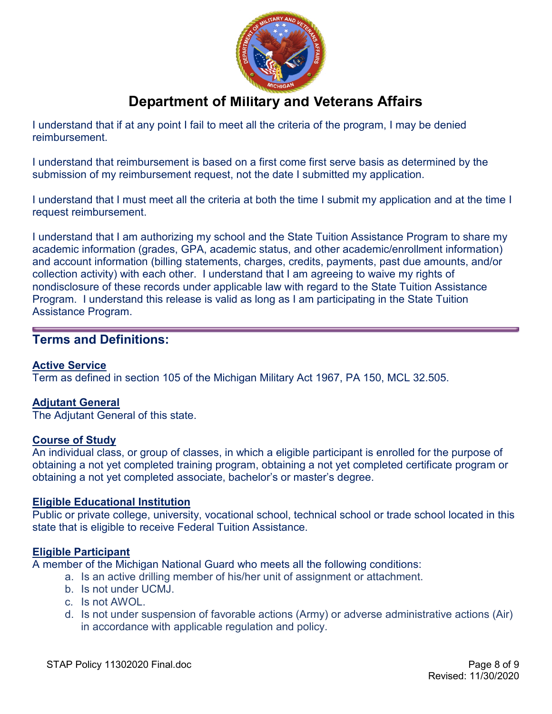

I understand that if at any point I fail to meet all the criteria of the program, I may be denied reimbursement.

I understand that reimbursement is based on a first come first serve basis as determined by the submission of my reimbursement request, not the date I submitted my application.

I understand that I must meet all the criteria at both the time I submit my application and at the time I request reimbursement.

I understand that I am authorizing my school and the State Tuition Assistance Program to share my academic information (grades, GPA, academic status, and other academic/enrollment information) and account information (billing statements, charges, credits, payments, past due amounts, and/or collection activity) with each other. I understand that I am agreeing to waive my rights of nondisclosure of these records under applicable law with regard to the State Tuition Assistance Program. I understand this release is valid as long as I am participating in the State Tuition Assistance Program.

## **Terms and Definitions:**

#### **Active Service**

Term as defined in section 105 of the Michigan Military Act 1967, PA 150, MCL 32.505.

#### **Adjutant General**

The Adjutant General of this state.

#### **Course of Study**

An individual class, or group of classes, in which a eligible participant is enrolled for the purpose of obtaining a not yet completed training program, obtaining a not yet completed certificate program or obtaining a not yet completed associate, bachelor's or master's degree.

#### **Eligible Educational Institution**

Public or private college, university, vocational school, technical school or trade school located in this state that is eligible to receive Federal Tuition Assistance.

#### **Eligible Participant**

A member of the Michigan National Guard who meets all the following conditions:

- a. Is an active drilling member of his/her unit of assignment or attachment.
- b. Is not under UCMJ.
- c. Is not AWOL.
- d. Is not under suspension of favorable actions (Army) or adverse administrative actions (Air) in accordance with applicable regulation and policy.

STAP Policy 11302020 Final.doc **Page 8 of 9**